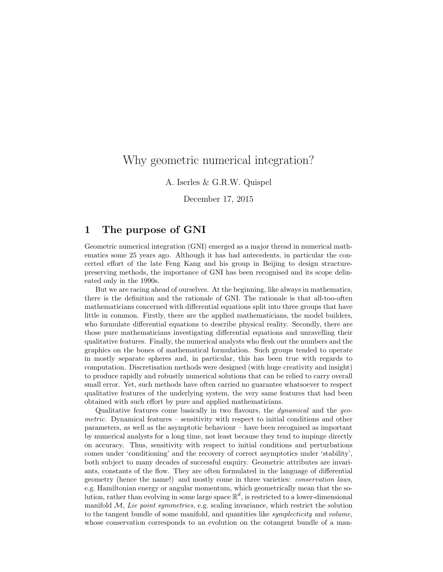# Why geometric numerical integration?

A. Iserles & G.R.W. Quispel

December 17, 2015

# 1 The purpose of GNI

Geometric numerical integration (GNI) emerged as a major thread in numerical mathematics some 25 years ago. Although it has had antecedents, in particular the concerted effort of the late Feng Kang and his group in Beijing to design structurepreserving methods, the importance of GNI has been recognised and its scope delineated only in the 1990s.

But we are racing ahead of ourselves. At the beginning, like always in mathematics, there is the definition and the rationale of GNI. The rationale is that all-too-often mathematicians concerned with differential equations split into three groups that have little in common. Firstly, there are the applied mathematicians, the model builders, who formulate differential equations to describe physical reality. Secondly, there are those pure mathematicians investigating differential equations and unravelling their qualitative features. Finally, the numerical analysts who flesh out the numbers and the graphics on the bones of mathematical formulation. Such groups tended to operate in mostly separate spheres and, in particular, this has been true with regards to computation. Discretisation methods were designed (with huge creativity and insight) to produce rapidly and robustly numerical solutions that can be relied to carry overall small error. Yet, such methods have often carried no guarantee whatsoever to respect qualitative features of the underlying system, the very same features that had been obtained with such effort by pure and applied mathematicians.

Qualitative features come basically in two flavours, the dynamical and the geometric. Dynamical features – sensitivity with respect to initial conditions and other parameters, as well as the asymptotic behaviour – have been recognised as important by numerical analysts for a long time, not least because they tend to impinge directly on accuracy. Thus, sensitivity with respect to initial conditions and perturbations comes under 'conditioning' and the recovery of correct asymptotics under 'stability', both subject to many decades of successful enquiry. Geometric attributes are invariants, constants of the flow. They are often formulated in the language of differential geometry (hence the name!) and mostly come in three varieties: conservation laws, e.g. Hamiltonian energy or angular momentum, which geometrically mean that the solution, rather than evolving in some large space  $\mathbb{R}^d$ , is restricted to a lower-dimensional manifold  $M$ , Lie point symmetries, e.g. scaling invariance, which restrict the solution to the tangent bundle of some manifold, and quantities like symplecticity and volume, whose conservation corresponds to an evolution on the cotangent bundle of a man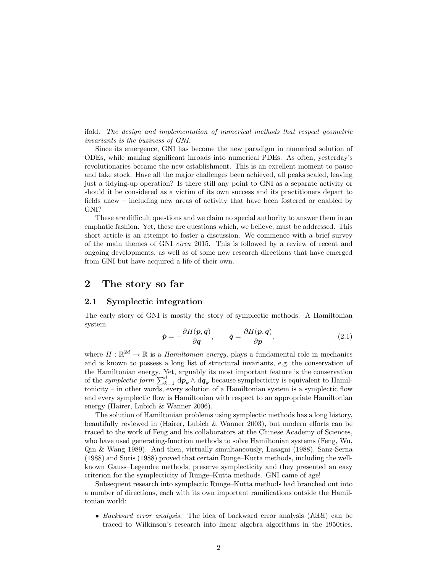ifold. The design and implementation of numerical methods that respect geometric invariants is the business of GNI.

Since its emergence, GNI has become the new paradigm in numerical solution of ODEs, while making significant inroads into numerical PDEs. As often, yesterday's revolutionaries became the new establishment. This is an excellent moment to pause and take stock. Have all the major challenges been achieved, all peaks scaled, leaving just a tidying-up operation? Is there still any point to GNI as a separate activity or should it be considered as a victim of its own success and its practitioners depart to fields anew – including new areas of activity that have been fostered or enabled by GNI?

These are difficult questions and we claim no special authority to answer them in an emphatic fashion. Yet, these are questions which, we believe, must be addressed. This short article is an attempt to foster a discussion. We commence with a brief survey of the main themes of GNI circa 2015. This is followed by a review of recent and ongoing developments, as well as of some new research directions that have emerged from GNI but have acquired a life of their own.

### 2 The story so far

#### 2.1 Symplectic integration

The early story of GNI is mostly the story of symplectic methods. A Hamiltonian system

$$
\dot{\mathbf{p}} = -\frac{\partial H(\mathbf{p}, \mathbf{q})}{\partial \mathbf{q}}, \qquad \dot{\mathbf{q}} = \frac{\partial H(\mathbf{p}, \mathbf{q})}{\partial \mathbf{p}}, \tag{2.1}
$$

where  $H: \mathbb{R}^{2d} \to \mathbb{R}$  is a *Hamiltonian energy*, plays a fundamental role in mechanics and is known to possess a long list of structural invariants, e.g. the conservation of the Hamiltonian energy. Yet, arguably its most important feature is the conservation of the symplectic form  $\sum_{k=1}^d dp_k \wedge dq_k$  because symplecticity is equivalent to Hamiltonicity – in other words, every solution of a Hamiltonian system is a symplectic flow and every symplectic flow is Hamiltonian with respect to an appropriate Hamiltonian energy (Hairer, Lubich & Wanner 2006).

The solution of Hamiltonian problems using symplectic methods has a long history, beautifully reviewed in (Hairer, Lubich & Wanner 2003), but modern efforts can be traced to the work of Feng and his collaborators at the Chinese Academy of Sciences, who have used generating-function methods to solve Hamiltonian systems (Feng, Wu, Qin & Wang 1989). And then, virtually simultaneously, Lasagni (1988), Sanz-Serna (1988) and Suris (1988) proved that certain Runge–Kutta methods, including the wellknown Gauss–Legendre methods, preserve symplecticity and they presented an easy criterion for the symplecticity of Runge–Kutta methods. GNI came of age!

Subsequent research into symplectic Runge–Kutta methods had branched out into a number of directions, each with its own important ramifications outside the Hamiltonian world:

• Backward error analysis. The idea of backward error analysis  $(A<sup>H</sup>B)$  can be traced to Wilkinson's research into linear algebra algorithms in the 1950ties.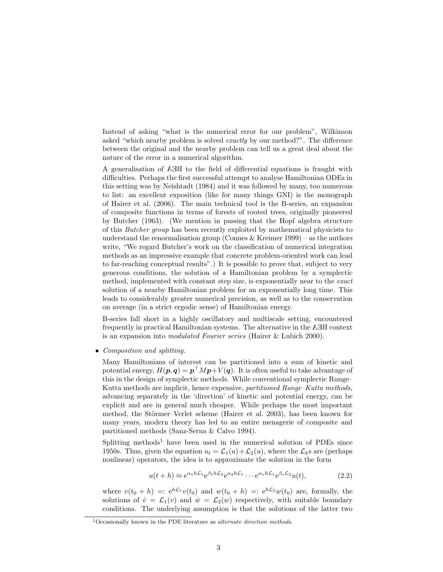Instead of asking "what is the numerical error for our problem", Wilkinson asked "which nearby problem is solved exactly by our method?". The difference between the original and the nearby problem can tell us a great deal about the nature of the error in a numerical algorithm.

A generalisation of BEA to the field of differential equations is fraught with difficulties. Perhaps the first successful attempt to analyse Hamiltonian ODEs in this setting was by Neĭshtadt (1984) and it was followed by many, too numerous to list: an excellent exposition (like for many things GNI) is the monograph of Hairer et al. (2006). The main technical tool is the B-series, an expansion of composite functions in terms of forests of rooted trees, originally pioneered by Butcher (1963). (We mention in passing that the Hopf algebra structure of this Butcher group has been recently exploited by mathematical physicists to understand the renormalisation group (Connes  $&$  Kreimer 1999) – as the authors write, "We regard Butcher's work on the classification of numerical integration methods as an impressive example that concrete problem-oriented work can lead to far-reaching conceptual results".) It is possible to prove that, subject to very generous conditions, the solution of a Hamiltonian problem by a symplectic method, implemented with constant step size, is exponentially near to the *exact* solution of a nearby Hamiltonian problem for an exponentially long time. This leads to considerably greater numerical precision, as well as to the conservation on average (in a strict ergodic sense) of Hamiltonian energy.

B-series fall short in a highly oscillatory and multiscale setting, encountered frequently in practical Hamiltonian systems. The alternative in the BEA context is an expansion into modulated Fourier series (Hairer & Lubich 2000).

• Composition and splitting.

Many Hamiltonians of interest can be partitioned into a sum of kinetic and potential energy,  $H(\bm{p}, \bm{q}) = \bm{p}^\top M \bm{p} + V(\bm{q})$ . It is often useful to take advantage of this in the design of symplectic methods. While conventional symplectic Runge– Kutta methods are implicit, hence expensive, *partitioned Runge–Kutta methods*, advancing separately in the 'direction' of kinetic and potential energy, can be explicit and are in general much cheaper. While perhaps the most important method, the Störmer–Verlet scheme (Hairer et al. 2003), has been known for many years, modern theory has led to an entire menagerie of composite and partitioned methods (Sanz-Serna & Calvo 1994).

Splitting methods<sup>1</sup> have been used in the numerical solution of PDEs since 1950s. Thus, given the equation  $u_t = \mathcal{L}_1(u) + \mathcal{L}_2(u)$ , where the  $\mathcal{L}_k$ s are (perhaps nonlinear) operators, the idea is to approximate the solution in the form

$$
u(t+h) \approx e^{\alpha_1 h \mathcal{L}_1} e^{\beta_1 h \mathcal{L}_2} e^{\alpha_2 h \mathcal{L}_1} \cdots e^{\alpha_s h \mathcal{L}_1} e^{\beta_s \mathcal{L}_2} u(t), \tag{2.2}
$$

where  $v(t_0 + h) =: e^{h\mathcal{L}_1}v(t_0)$  and  $w(t_0 + h) =: e^{h\mathcal{L}_2}w(t_0)$  are, formally, the solutions of  $\dot{v} = \mathcal{L}_1(v)$  and  $\dot{w} = \mathcal{L}_2(w)$  respectively, with suitable boundary conditions. The underlying assumption is that the solutions of the latter two

 $1$ Occasionally known in the PDE literature as *alternate direction methods*.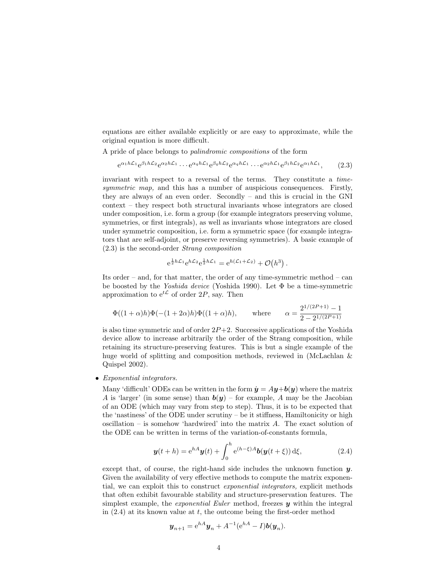equations are either available explicitly or are easy to approximate, while the original equation is more difficult.

A pride of place belongs to palindromic compositions of the form

$$
e^{\alpha_1 h \mathcal{L}_1} e^{\beta_1 h \mathcal{L}_2} e^{\alpha_2 h \mathcal{L}_1} \cdots e^{\alpha_q h \mathcal{L}_1} e^{\beta_q h \mathcal{L}_2} e^{\alpha_q h \mathcal{L}_1} \cdots e^{\alpha_2 h \mathcal{L}_1} e^{\beta_1 h \mathcal{L}_2} e^{\alpha_1 h \mathcal{L}_1},\tag{2.3}
$$

invariant with respect to a reversal of the terms. They constitute a timesymmetric map, and this has a number of auspicious consequences. Firstly, they are always of an even order. Secondly – and this is crucial in the GNI context – they respect both structural invariants whose integrators are closed under composition, i.e. form a group (for example integrators preserving volume, symmetries, or first integrals), as well as invariants whose integrators are closed under symmetric composition, i.e. form a symmetric space (for example integrators that are self-adjoint, or preserve reversing symmetries). A basic example of (2.3) is the second-order Strang composition

$$
e^{\frac{1}{2}h\mathcal{L}_1}e^{h\mathcal{L}_2}e^{\frac{1}{2}h\mathcal{L}_1}=e^{h(\mathcal{L}_1+\mathcal{L}_2)}+\mathcal{O}(h^3).
$$

Its order – and, for that matter, the order of any time-symmetric method – can be boosted by the *Yoshida device* (Yoshida 1990). Let  $\Phi$  be a time-symmetric approximation to  $e^{t\mathcal{L}}$  of order  $2P$ , say. Then

$$
\Phi((1+\alpha)h)\Phi(-(1+2\alpha)h)\Phi((1+\alpha)h), \quad \text{where} \quad \alpha = \frac{2^{1/(2P+1)}-1}{2-2^{1/(2P+1)}}
$$

is also time symmetric and of order  $2P+2$ . Successive applications of the Yoshida device allow to increase arbitrarily the order of the Strang composition, while retaining its structure-preserving features. This is but a single example of the huge world of splitting and composition methods, reviewed in (McLachlan & Quispel 2002).

#### • Exponential integrators.

Many 'difficult' ODEs can be written in the form  $\dot{y} = Ay + b(y)$  where the matrix A is 'larger' (in some sense) than  $b(y)$  – for example, A may be the Jacobian of an ODE (which may vary from step to step). Thus, it is to be expected that the 'nastiness' of the ODE under scrutiny – be it stiffness, Hamiltonicity or high oscillation – is somehow 'hardwired' into the matrix  $A$ . The exact solution of the ODE can be written in terms of the variation-of-constants formula,

$$
\mathbf{y}(t+h) = e^{hA}\mathbf{y}(t) + \int_0^h e^{(h-\xi)A}\mathbf{b}(\mathbf{y}(t+\xi))\,\mathrm{d}\xi,\tag{2.4}
$$

except that, of course, the right-hand side includes the unknown function  $y$ . Given the availability of very effective methods to compute the matrix exponential, we can exploit this to construct exponential integrators, explicit methods that often exhibit favourable stability and structure-preservation features. The simplest example, the *exponential Euler* method, freezes  $y$  within the integral in  $(2.4)$  at its known value at t, the outcome being the first-order method

$$
\boldsymbol{y}_{n+1} = \mathrm{e}^{hA}\boldsymbol{y}_n + A^{-1}(\mathrm{e}^{hA} - I)\boldsymbol{b}(\boldsymbol{y}_n).
$$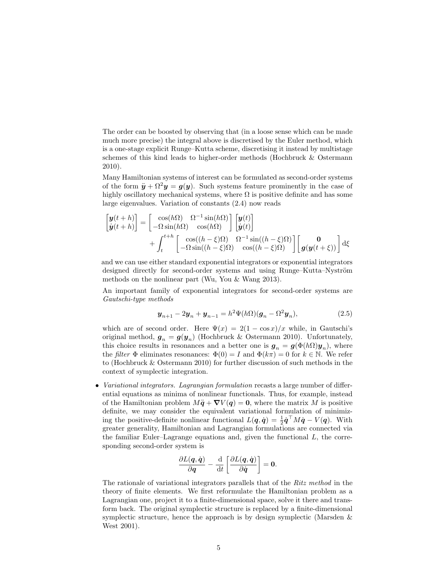The order can be boosted by observing that (in a loose sense which can be made much more precise) the integral above is discretised by the Euler method, which is a one-stage explicit Runge–Kutta scheme, discretising it instead by multistage schemes of this kind leads to higher-order methods (Hochbruck & Ostermann 2010).

Many Hamiltonian systems of interest can be formulated as second-order systems of the form  $\ddot{y} + \Omega^2 y = g(y)$ . Such systems feature prominently in the case of highly oscillatory mechanical systems, where  $\Omega$  is positive definite and has some large eigenvalues. Variation of constants (2.4) now reads

$$
\begin{bmatrix} \mathbf{y}(t+h) \\ \mathbf{\dot{y}}(t+h) \end{bmatrix} = \begin{bmatrix} \cos(h\Omega) & \Omega^{-1}\sin(h\Omega) \\ -\Omega\sin(h\Omega) & \cos(h\Omega) \end{bmatrix} \begin{bmatrix} \mathbf{y}(t) \\ \mathbf{\dot{y}}(t) \end{bmatrix} + \int_{t}^{t+h} \begin{bmatrix} \cos((h-\xi)\Omega) & \Omega^{-1}\sin((h-\xi)\Omega) \\ -\Omega\sin((h-\xi)\Omega) & \cos((h-\xi)\Omega) \end{bmatrix} \begin{bmatrix} \mathbf{0} \\ \mathbf{g}(\mathbf{y}(t+\xi)) \end{bmatrix} d\xi
$$

and we can use either standard exponential integrators or exponential integrators designed directly for second-order systems and using Runge–Kutta–Nyström methods on the nonlinear part (Wu, You & Wang 2013).

An important family of exponential integrators for second-order systems are Gautschi-type methods

$$
\mathbf{y}_{n+1} - 2\mathbf{y}_n + \mathbf{y}_{n-1} = h^2 \Psi(h\Omega)(\mathbf{g}_n - \Omega^2 \mathbf{y}_n),\tag{2.5}
$$

which are of second order. Here  $\Psi(x) = 2(1 - \cos x)/x$  while, in Gautschi's original method,  $g_n = g(y_n)$  (Hochbruck & Ostermann 2010). Unfortunately, this choice results in resonances and a better one is  $g_n = g(\Phi(h\Omega)y_n)$ , where the filter  $\Phi$  eliminates resonances:  $\Phi(0) = I$  and  $\Phi(k\pi) = 0$  for  $k \in \mathbb{N}$ . We refer to (Hochbruck & Ostermann 2010) for further discussion of such methods in the context of symplectic integration.

• Variational integrators. Lagrangian formulation recasts a large number of differential equations as minima of nonlinear functionals. Thus, for example, instead of the Hamiltonian problem  $M\ddot{q} + \nabla V(q) = 0$ , where the matrix M is positive definite, we may consider the equivalent variational formulation of minimizing the positive-definite nonlinear functional  $L(q, \dot{q}) = \frac{1}{2} \dot{q}^\top M \dot{q} - V(q)$ . With greater generality, Hamiltonian and Lagrangian formulations are connected via the familiar Euler–Lagrange equations and, given the functional  $L$ , the corresponding second-order system is

$$
\frac{\partial L(\boldsymbol{q},\dot{\boldsymbol{q}})}{\partial \boldsymbol{q}} - \frac{\mathrm{d}}{\mathrm{d}t} \left[ \frac{\partial L(\boldsymbol{q},\dot{\boldsymbol{q}})}{\partial \dot{\boldsymbol{q}}} \right] = \boldsymbol{0}.
$$

The rationale of variational integrators parallels that of the Ritz method in the theory of finite elements. We first reformulate the Hamiltonian problem as a Lagrangian one, project it to a finite-dimensional space, solve it there and transform back. The original symplectic structure is replaced by a finite-dimensional symplectic structure, hence the approach is by design symplectic (Marsden & West 2001).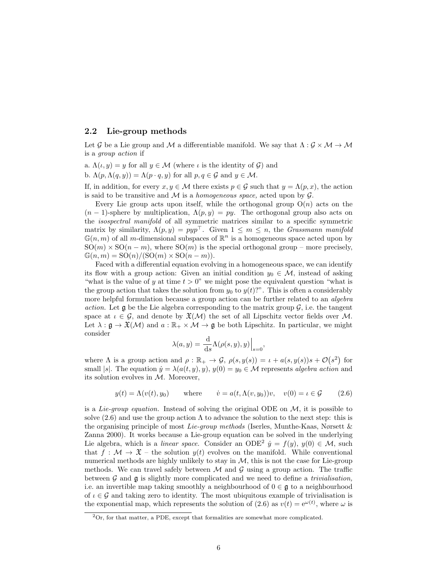#### 2.2 Lie-group methods

Let G be a Lie group and M a differentiable manifold. We say that  $\Lambda : \mathcal{G} \times \mathcal{M} \to \mathcal{M}$ is a group action if

a.  $\Lambda(\iota, y) = y$  for all  $y \in \mathcal{M}$  (where  $\iota$  is the identity of  $\mathcal{G}$ ) and

b.  $\Lambda(p, \Lambda(q, y)) = \Lambda(p \cdot q, y)$  for all  $p, q \in \mathcal{G}$  and  $y \in \mathcal{M}$ .

If, in addition, for every  $x, y \in \mathcal{M}$  there exists  $p \in \mathcal{G}$  such that  $y = \Lambda(p, x)$ , the action is said to be transitive and  $M$  is a *homogeneous space*, acted upon by  $G$ .

Every Lie group acts upon itself, while the orthogonal group  $O(n)$  acts on the  $(n-1)$ -sphere by multiplication,  $\Lambda(p, y) = py$ . The orthogonal group also acts on the isospectral manifold of all symmetric matrices similar to a specific symmetric matrix by similarity,  $\Lambda(p, y) = p y p^{\top}$ . Given  $1 \leq m \leq n$ , the *Grassmann manifold*  $\mathbb{G}(n,m)$  of all m-dimensional subspaces of  $\mathbb{R}^n$  is a homogeneous space acted upon by  $SO(m) \times SO(n-m)$ , where  $SO(m)$  is the special orthogonal group – more precisely,  $\mathbb{G}(n,m) = \mathrm{SO}(n)/(\mathrm{SO}(m) \times \mathrm{SO}(n-m)).$ 

Faced with a differential equation evolving in a homogeneous space, we can identify its flow with a group action: Given an initial condition  $y_0 \in \mathcal{M}$ , instead of asking "what is the value of y at time  $t > 0$ " we might pose the equivalent question "what is the group action that takes the solution from  $y_0$  to  $y(t)$ ?". This is often a considerably more helpful formulation because a group action can be further related to an *algebra* action. Let  $\mathfrak g$  be the Lie algebra corresponding to the matrix group  $\mathcal G$ , i.e. the tangent space at  $\iota \in \mathcal{G}$ , and denote by  $\mathfrak{X}(\mathcal{M})$  the set of all Lipschitz vector fields over M. Let  $\lambda : \mathfrak{g} \to \mathfrak{X}(\mathcal{M})$  and  $a : \mathbb{R}_+ \times \mathcal{M} \to \mathfrak{g}$  be both Lipschitz. In particular, we might consider

$$
\lambda(a, y) = \frac{\mathrm{d}}{\mathrm{d}s} \Lambda(\rho(s, y), y) \Big|_{s=0},
$$

where  $\Lambda$  is a group action and  $\rho : \mathbb{R}_+ \to \mathcal{G}$ ,  $\rho(s, y(s)) = \iota + a(s, y(s))s + \mathcal{O}(s^2)$  for small |s|. The equation  $\dot{y} = \lambda(a(t, y), y), y(0) = y_0 \in \mathcal{M}$  represents algebra action and its solution evolves in  $M$ . Moreover,

$$
y(t) = \Lambda(v(t), y_0) \quad \text{where} \quad \dot{v} = a(t, \Lambda(v, y_0))v, \quad v(0) = \iota \in \mathcal{G} \tag{2.6}
$$

is a Lie-group equation. Instead of solving the original ODE on  $M$ , it is possible to solve  $(2.6)$  and use the group action  $\Lambda$  to advance the solution to the next step: this is the organising principle of most Lie-group methods (Iserles, Munthe-Kaas, Nørsett & Zanna 2000). It works because a Lie-group equation can be solved in the underlying Lie algebra, which is a linear space. Consider an ODE<sup>2</sup>  $\dot{y} = f(y)$ ,  $y(0) \in \mathcal{M}$ , such that  $f : \mathcal{M} \to \mathfrak{X}$  – the solution  $y(t)$  evolves on the manifold. While conventional numerical methods are highly unlikely to stay in  $M$ , this is not the case for Lie-group methods. We can travel safely between  $\mathcal M$  and  $\mathcal G$  using a group action. The traffic between  $\mathcal G$  and  $\mathfrak g$  is slightly more complicated and we need to define a *trivialisation*, i.e. an invertible map taking smoothly a neighbourhood of  $0 \in \mathfrak{g}$  to a neighbourhood of  $\iota \in \mathcal{G}$  and taking zero to identity. The most ubiquitous example of trivialisation is the exponential map, which represents the solution of (2.6) as  $v(t) = e^{\omega(t)}$ , where  $\omega$  is

<sup>2</sup>Or, for that matter, a PDE, except that formalities are somewhat more complicated.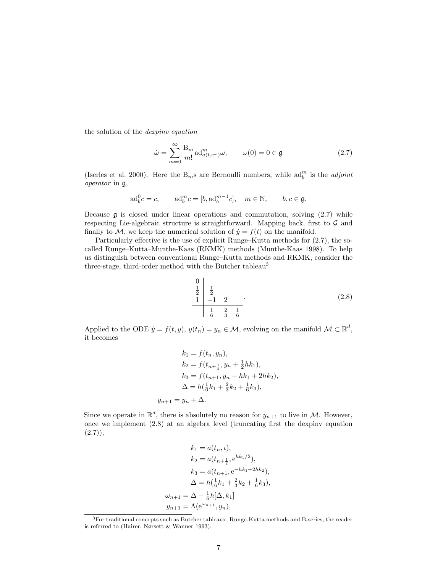the solution of the dexpinv equation

$$
\dot{\omega} = \sum_{m=0}^{\infty} \frac{\mathbf{B}_m}{m!} \mathbf{ad}_{a(t, e^{\omega})}^m \omega, \qquad \omega(0) = 0 \in \mathfrak{g}
$$
\n(2.7)

(Iserles et al. 2000). Here the  $B_m$ s are Bernoulli numbers, while  $ad_b^m$  is the *adjoint* operator in g,

$$
ad_b^0c = c, \t ad_b^mc = [b, ad_b^{m-1}c], \t m \in \mathbb{N}, \t b, c \in \mathfrak{g}.
$$

Because  $\mathfrak g$  is closed under linear operations and commutation, solving  $(2.7)$  while respecting Lie-algebraic structure is straightforward. Mapping back, first to  $\mathcal G$  and finally to M, we keep the numerical solution of  $\dot{y} = f(t)$  on the manifold.

Particularly effective is the use of explicit Runge–Kutta methods for (2.7), the socalled Runge–Kutta–Munthe-Kaas (RKMK) methods (Munthe-Kaas 1998). To help us distinguish between conventional Runge–Kutta methods and RKMK, consider the three-stage, third-order method with the Butcher tableau<sup>3</sup>

$$
\begin{array}{c|cc}\n0 & \frac{1}{2} & \frac{1}{2} \\
1 & -1 & 2 \\
\hline\n\frac{1}{6} & \frac{2}{3} & \frac{1}{6}\n\end{array}
$$
\n(2.8)

Applied to the ODE  $\dot{y} = f(t, y), y(t_n) = y_n \in \mathcal{M}$ , evolving on the manifold  $\mathcal{M} \subset \mathbb{R}^d$ , it becomes

$$
k_1 = f(t_n, y_n),
$$
  
\n
$$
k_2 = f(t_{n+\frac{1}{2}}, y_n + \frac{1}{2}hk_1),
$$
  
\n
$$
k_3 = f(t_{n+1}, y_n - hk_1 + 2hk_2),
$$
  
\n
$$
\Delta = h(\frac{1}{6}k_1 + \frac{2}{3}k_2 + \frac{1}{6}k_3),
$$
  
\n
$$
y_{n+1} = y_n + \Delta.
$$

Since we operate in  $\mathbb{R}^d$ , there is absolutely no reason for  $y_{n+1}$  to live in M. However, once we implement (2.8) at an algebra level (truncating first the dexpinv equation  $(2.7)$ ,

$$
k_1 = a(t_n, t),
$$
  
\n
$$
k_2 = a(t_{n+\frac{1}{2}}, e^{hk_1/2}),
$$
  
\n
$$
k_3 = a(t_{n+1}, e^{-hk_1+2hk_2}),
$$
  
\n
$$
\Delta = h(\frac{1}{6}k_1 + \frac{2}{3}k_2 + \frac{1}{6}k_3),
$$
  
\n
$$
\omega_{n+1} = \Delta + \frac{1}{6}h[\Delta, k_1]
$$
  
\n
$$
y_{n+1} = \Lambda(e^{\omega_{n+1}}, y_n),
$$

<sup>3</sup>For traditional concepts such as Butcher tableaux, Runge-Kutta methods and B-series, the reader is referred to (Hairer, Nørsett & Wanner 1993).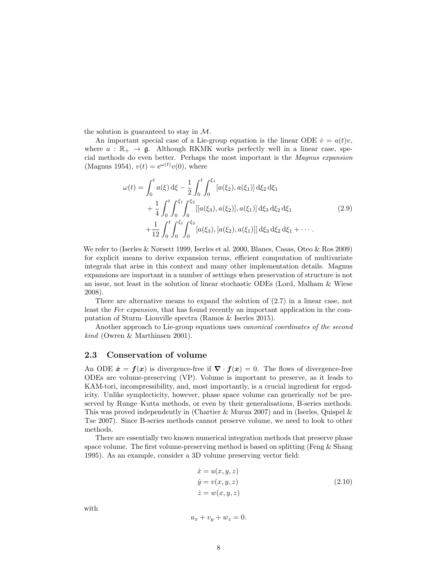the solution is guaranteed to stay in  $\mathcal{M}$ .

An important special case of a Lie-group equation is the linear ODE  $\dot{v} = a(t)v$ , where  $a : \mathbb{R}_+ \to \mathfrak{g}$ . Although RKMK works perfectly well in a linear case, special methods do even better. Perhaps the most important is the Magnus expansion (Magnus 1954),  $v(t) = e^{\omega(t)}v(0)$ , where

$$
\omega(t) = \int_0^t a(\xi) d\xi - \frac{1}{2} \int_0^t \int_0^{\xi_1} [a(\xi_2), a(\xi_1)] d\xi_2 d\xi_1 \n+ \frac{1}{4} \int_0^t \int_0^{\xi_1} \int_0^{\xi_2} [[a(\xi_3), a(\xi_2)], a(\xi_1)] d\xi_3 d\xi_2 d\xi_1 \n+ \frac{1}{12} \int_0^t \int_0^{\xi_1} \int_0^{\xi_2} [a(\xi_3), [a(\xi_2), a(\xi_1)]] d\xi_3 d\xi_2 d\xi_1 + \cdots
$$
\n(2.9)

We refer to (Iserles & Nørsett 1999, Iserles et al. 2000, Blanes, Casas, Oteo & Ros 2009) for explicit means to derive expansion terms, efficient computation of multivariate integrals that arise in this context and many other implementation details. Magnus expansions are important in a number of settings when preservation of structure is not an issue, not least in the solution of linear stochastic ODEs (Lord, Malham & Wiese 2008).

There are alternative means to expand the solution of (2.7) in a linear case, not least the Fer expansion, that has found recently an important application in the computation of Sturm–Liouville spectra (Ramos & Iserles 2015).

Another approach to Lie-group equations uses *canonical coordinates of the second* kind (Owren & Marthinsen 2001).

#### 2.3 Conservation of volume

An ODE  $\dot{\boldsymbol{x}} = \boldsymbol{f}(\boldsymbol{x})$  is divergence-free if  $\nabla \cdot \boldsymbol{f}(\boldsymbol{x}) = 0$ . The flows of divergence-free ODEs are volume-preserving (VP). Volume is important to preserve, as it leads to KAM-tori, incompressibility, and, most importantly, is a crucial ingredient for ergodicity. Unlike symplecticity, however, phase space volume can generically not be preserved by Runge–Kutta methods, or even by their generalisations, B-series methods. This was proved independently in (Chartier & Murua 2007) and in (Iserles, Quispel  $\&$ Tse 2007). Since B-series methods cannot preserve volume, we need to look to other methods.

There are essentially two known numerical integration methods that preserve phase space volume. The first volume-preserving method is based on splitting (Feng & Shang 1995). As an example, consider a 3D volume preserving vector field:

$$
\begin{aligned}\n\dot{x} &= u(x, y, z) \\
\dot{y} &= v(x, y, z) \\
\dot{z} &= w(x, y, z)\n\end{aligned}
$$
\n(2.10)

with

$$
u_x + v_y + w_z = 0.
$$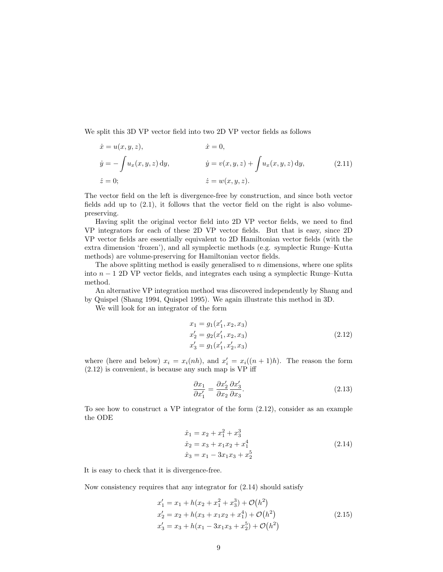We split this 3D VP vector field into two 2D VP vector fields as follows

$$
\dot{x} = u(x, y, z), \n\dot{y} = -\int u_x(x, y, z) dy, \n\dot{y} = v(x, y, z) + \int u_x(x, y, z) dy, \n\dot{z} = 0; \n\dot{z} = w(x, y, z).
$$
\n(2.11)

The vector field on the left is divergence-free by construction, and since both vector fields add up to (2.1), it follows that the vector field on the right is also volumepreserving.

Having split the original vector field into 2D VP vector fields, we need to find VP integrators for each of these 2D VP vector fields. But that is easy, since 2D VP vector fields are essentially equivalent to 2D Hamiltonian vector fields (with the extra dimension 'frozen'), and all symplectic methods (e.g. symplectic Runge–Kutta methods) are volume-preserving for Hamiltonian vector fields.

The above splitting method is easily generalised to  $n$  dimensions, where one splits into  $n - 1$  2D VP vector fields, and integrates each using a symplectic Runge–Kutta method.

An alternative VP integration method was discovered independently by Shang and by Quispel (Shang 1994, Quispel 1995). We again illustrate this method in 3D.

We will look for an integrator of the form

$$
x_1 = g_1(x'_1, x_2, x_3)
$$
  
\n
$$
x'_2 = g_2(x'_1, x_2, x_3)
$$
  
\n
$$
x'_3 = g_1(x'_1, x'_2, x_3)
$$
\n(2.12)

where (here and below)  $x_i = x_i(nh)$ , and  $x'_i = x_i((n+1)h)$ . The reason the form (2.12) is convenient, is because any such map is VP iff

$$
\frac{\partial x_1}{\partial x'_1} = \frac{\partial x'_2}{\partial x_2} \frac{\partial x'_3}{\partial x_3}.
$$
\n(2.13)

To see how to construct a VP integrator of the form (2.12), consider as an example the ODE

$$
\begin{aligned}\n\dot{x}_1 &= x_2 + x_1^2 + x_3^3 \\
\dot{x}_2 &= x_3 + x_1 x_2 + x_1^4 \\
\dot{x}_3 &= x_1 - 3x_1 x_3 + x_2^5\n\end{aligned} \tag{2.14}
$$

It is easy to check that it is divergence-free.

Now consistency requires that any integrator for (2.14) should satisfy

$$
x'_1 = x_1 + h(x_2 + x_1^2 + x_3^3) + \mathcal{O}(h^2)
$$
  
\n
$$
x'_2 = x_2 + h(x_3 + x_1x_2 + x_1^4) + \mathcal{O}(h^2)
$$
  
\n
$$
x'_3 = x_3 + h(x_1 - 3x_1x_3 + x_2^5) + \mathcal{O}(h^2)
$$
\n(2.15)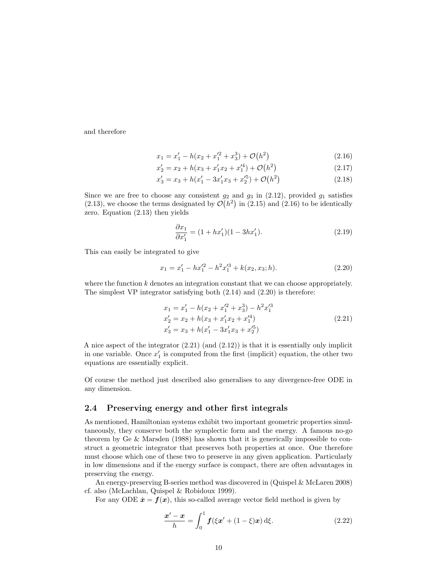and therefore

$$
x_1 = x_1' - h(x_2 + x_1'^2 + x_3^3) + \mathcal{O}(h^2)
$$
\n(2.16)

$$
x_2' = x_2 + h(x_3 + x_1'x_2 + x_1'^4) + \mathcal{O}(h^2)
$$
\n(2.17)

$$
x_3' = x_3 + h(x_1' - 3x_1'x_3 + x_2'^5) + \mathcal{O}(h^2)
$$
\n(2.18)

Since we are free to choose any consistent  $g_2$  and  $g_3$  in (2.12), provided  $g_1$  satisfies  $(2.13)$ , we choose the terms designated by  $\mathcal{O}(h^2)$  in  $(2.15)$  and  $(2.16)$  to be identically zero. Equation (2.13) then yields

$$
\frac{\partial x_1}{\partial x'_1} = (1 + hx'_1)(1 - 3hx'_1). \tag{2.19}
$$

This can easily be integrated to give

$$
x_1 = x_1' - hx_1'^2 - h^2 x_1'^3 + k(x_2, x_3; h). \tag{2.20}
$$

where the function  $k$  denotes an integration constant that we can choose appropriately. The simplest VP integrator satisfying both (2.14) and (2.20) is therefore:

$$
x_1 = x'_1 - h(x_2 + x_1^2 + x_3^3) - h^2 x_1^3
$$
  
\n
$$
x'_2 = x_2 + h(x_3 + x'_1 x_2 + x_1^4)
$$
  
\n
$$
x'_3 = x_3 + h(x'_1 - 3x'_1 x_3 + x_2^5)
$$
\n(2.21)

A nice aspect of the integrator (2.21) (and (2.12)) is that it is essentially only implicit in one variable. Once  $x_1'$  is computed from the first (implicit) equation, the other two equations are essentially explicit.

Of course the method just described also generalises to any divergence-free ODE in any dimension.

#### 2.4 Preserving energy and other first integrals

As mentioned, Hamiltonian systems exhibit two important geometric properties simultaneously, they conserve both the symplectic form and the energy. A famous no-go theorem by Ge & Marsden (1988) has shown that it is generically impossible to construct a geometric integrator that preserves both properties at once. One therefore must choose which one of these two to preserve in any given application. Particularly in low dimensions and if the energy surface is compact, there are often advantages in preserving the energy.

An energy-preserving B-series method was discovered in (Quispel & McLaren 2008) cf. also (McLachlan, Quispel & Robidoux 1999).

For any ODE  $\dot{x} = f(x)$ , this so-called average vector field method is given by

$$
\frac{x'-x}{h} = \int_0^1 f(\xi x' + (1-\xi)x) \,d\xi.
$$
 (2.22)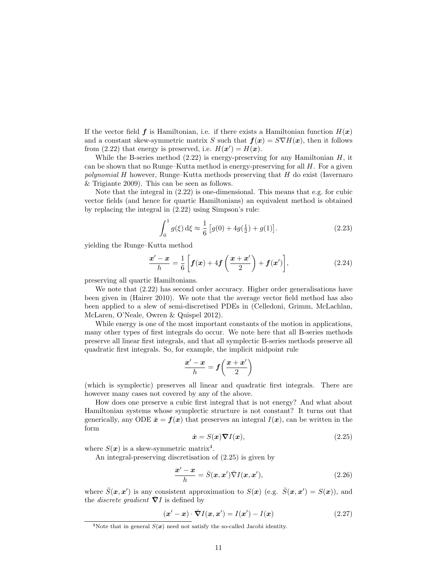If the vector field f is Hamiltonian, i.e. if there exists a Hamiltonian function  $H(x)$ and a constant skew-symmetric matrix S such that  $f(x) = S\nabla H(x)$ , then it follows from (2.22) that energy is preserved, i.e.  $H(\mathbf{x}') = H(\mathbf{x})$ .

While the B-series method  $(2.22)$  is energy-preserving for any Hamiltonian  $H$ , it can be shown that no Runge–Kutta method is energy-preserving for all  $H$ . For a given polynomial  $H$  however, Runge–Kutta methods preserving that  $H$  do exist (Iavernaro & Trigiante 2009). This can be seen as follows.

Note that the integral in  $(2.22)$  is one-dimensional. This means that e.g. for cubic vector fields (and hence for quartic Hamiltonians) an equivalent method is obtained by replacing the integral in (2.22) using Simpson's rule:

$$
\int_0^1 g(\xi) d\xi \approx \frac{1}{6} \left[ g(0) + 4g(\frac{1}{2}) + g(1) \right].
$$
 (2.23)

yielding the Runge–Kutta method

$$
\frac{x'-x}{h} = \frac{1}{6} \left[ f(x) + 4f\left(\frac{x+x'}{2}\right) + f(x') \right],\tag{2.24}
$$

preserving all quartic Hamiltonians.

We note that (2.22) has second order accuracy. Higher order generalisations have been given in (Hairer 2010). We note that the average vector field method has also been applied to a slew of semi-discretised PDEs in (Celledoni, Grimm, McLachlan, McLaren, O'Neale, Owren & Quispel 2012).

While energy is one of the most important constants of the motion in applications, many other types of first integrals do occur. We note here that all B-series methods preserve all linear first integrals, and that all symplectic B-series methods preserve all quadratic first integrals. So, for example, the implicit midpoint rule

$$
\frac{x'-x}{h} = f\left(\frac{x+x'}{2}\right)
$$

(which is symplectic) preserves all linear and quadratic first integrals. There are however many cases not covered by any of the above.

How does one preserve a cubic first integral that is not energy? And what about Hamiltonian systems whose symplectic structure is not constant? It turns out that generically, any ODE  $\dot{x} = f(x)$  that preserves an integral  $I(x)$ , can be written in the form

$$
\dot{\mathbf{x}} = S(\mathbf{x}) \nabla I(\mathbf{x}),\tag{2.25}
$$

where  $S(x)$  is a skew-symmetric matrix<sup>4</sup>.

An integral-preserving discretisation of (2.25) is given by

$$
\frac{x'-x}{h} = \bar{S}(x, x')\bar{\nabla}I(x, x'),\tag{2.26}
$$

where  $\bar{S}(x, x')$  is any consistent approximation to  $S(x)$  (e.g.  $\bar{S}(x, x') = S(x)$ ), and the *discrete gradient*  $\bar{\nabla}I$  is defined by

$$
(\mathbf{x}' - \mathbf{x}) \cdot \bar{\nabla} I(\mathbf{x}, \mathbf{x}') = I(\mathbf{x}') - I(\mathbf{x}) \tag{2.27}
$$

<sup>&</sup>lt;sup>4</sup>Note that in general  $S(x)$  need not satisfy the so-called Jacobi identity.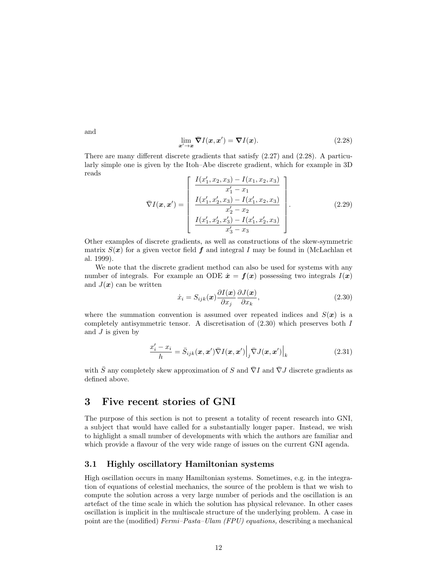$$
\lim_{x' \to x} \bar{\nabla} I(x, x') = \nabla I(x). \tag{2.28}
$$

There are many different discrete gradients that satisfy  $(2.27)$  and  $(2.28)$ . A particularly simple one is given by the Itoh–Abe discrete gradient, which for example in 3D reads

$$
\bar{\nabla}I(\boldsymbol{x}, \boldsymbol{x}') = \begin{bmatrix} \frac{I(x'_1, x_2, x_3) - I(x_1, x_2, x_3)}{x'_1 - x_1} \\ \frac{I(x'_1, x'_2, x_3) - I(x'_1, x_2, x_3)}{x'_2 - x_2} \\ \frac{I(x'_1, x'_2, x'_3) - I(x'_1, x'_2, x_3)}{x'_3 - x_3} \end{bmatrix} .
$$
(2.29)

Other examples of discrete gradients, as well as constructions of the skew-symmetric matrix  $S(x)$  for a given vector field f and integral I may be found in (McLachlan et al. 1999).

We note that the discrete gradient method can also be used for systems with any number of integrals. For example an ODE  $\dot{x} = f(x)$  possessing two integrals  $I(x)$ and  $J(x)$  can be written

$$
\dot{x}_i = S_{ijk}(\boldsymbol{x}) \frac{\partial I(\boldsymbol{x})}{\partial x_j} \frac{\partial J(\boldsymbol{x})}{\partial x_k},\tag{2.30}
$$

where the summation convention is assumed over repeated indices and  $S(\mathbf{x})$  is a completely antisymmetric tensor. A discretisation of (2.30) which preserves both I and  $J$  is given by

$$
\frac{x_i'-x_i}{h} = \bar{S}_{ijk}(\boldsymbol{x}, \boldsymbol{x}') \bar{\nabla} I(\boldsymbol{x}, \boldsymbol{x}') \Big|_j \bar{\nabla} J(\boldsymbol{x}, \boldsymbol{x}') \Big|_k \tag{2.31}
$$

with  $\bar{S}$  any completely skew approximation of S and  $\bar{\nabla}I$  and  $\bar{\nabla}J$  discrete gradients as defined above.

### 3 Five recent stories of GNI

The purpose of this section is not to present a totality of recent research into GNI, a subject that would have called for a substantially longer paper. Instead, we wish to highlight a small number of developments with which the authors are familiar and which provide a flavour of the very wide range of issues on the current GNI agenda.

### 3.1 Highly oscillatory Hamiltonian systems

High oscillation occurs in many Hamiltonian systems. Sometimes, e.g. in the integration of equations of celestial mechanics, the source of the problem is that we wish to compute the solution across a very large number of periods and the oscillation is an artefact of the time scale in which the solution has physical relevance. In other cases oscillation is implicit in the multiscale structure of the underlying problem. A case in point are the (modified) Fermi–Pasta–Ulam (FPU) equations, describing a mechanical

and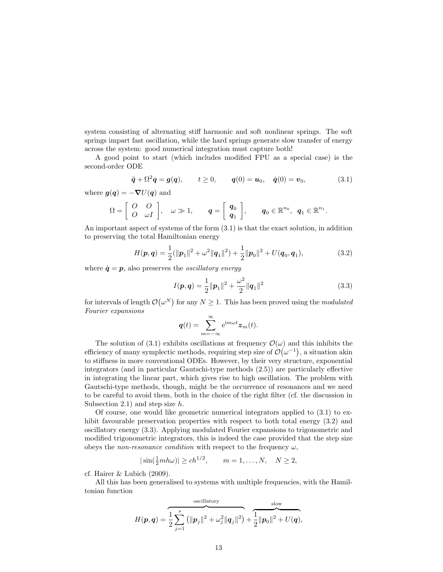system consisting of alternating stiff harmonic and soft nonlinear springs. The soft springs impart fast oscillation, while the hard springs generate slow transfer of energy across the system: good numerical integration must capture both!

A good point to start (which includes modified FPU as a special case) is the second-order ODE

$$
\ddot{q} + \Omega^2 q = g(q), \qquad t \ge 0, \qquad q(0) = u_0, \quad \dot{q}(0) = v_0,
$$
\n(3.1)

where  $g(q) = -\nabla U(q)$  and

$$
\Omega = \left[ \begin{array}{cc} O & O \\ O & \omega I \end{array} \right], \quad \omega \gg 1, \qquad \boldsymbol{q} = \left[ \begin{array}{c} \boldsymbol{q}_0 \\ \boldsymbol{q}_1 \end{array} \right], \qquad \boldsymbol{q}_0 \in \mathbb{R}^{n_0}, \ \ \boldsymbol{q}_1 \in \mathbb{R}^{n_1}.
$$

An important aspect of systems of the form (3.1) is that the exact solution, in addition to preserving the total Hamiltonian energy

$$
H(\boldsymbol{p}, \boldsymbol{q}) = \frac{1}{2} (\|\boldsymbol{p}_1\|^2 + \omega^2 \|\boldsymbol{q}_1\|^2) + \frac{1}{2} \|\boldsymbol{p}_0\|^2 + U(\boldsymbol{q}_0, \boldsymbol{q}_1),
$$
(3.2)

where  $\dot{q} = p$ , also preserves the *oscillatory energy* 

$$
I(\mathbf{p}, \mathbf{q}) = \frac{1}{2} ||\mathbf{p}_1||^2 + \frac{\omega^2}{2} ||\mathbf{q}_1||^2
$$
 (3.3)

for intervals of length  $\mathcal{O}(\omega^N)$  for any  $N \geq 1$ . This has been proved using the *modulated* Fourier expansions

$$
\boldsymbol{q}(t) = \sum_{m=-\infty}^{\infty} e^{im\omega t} \boldsymbol{z}_m(t).
$$

The solution of (3.1) exhibits oscillations at frequency  $\mathcal{O}(\omega)$  and this inhibits the efficiency of many symplectic methods, requiring step size of  $\mathcal{O}(\omega^{-1})$ , a situation akin to stiffness in more conventional ODEs. However, by their very structure, exponential integrators (and in particular Gautschi-type methods (2.5)) are particularly effective in integrating the linear part, which gives rise to high oscillation. The problem with Gautschi-type methods, though, might be the occurrence of resonances and we need to be careful to avoid them, both in the choice of the right filter (cf. the discussion in Subsection 2.1) and step size  $h$ .

Of course, one would like geometric numerical integrators applied to  $(3.1)$  to exhibit favourable preservation properties with respect to both total energy  $(3.2)$  and oscillatory energy (3.3). Applying modulated Fourier expansions to trigonometric and modified trigonometric integrators, this is indeed the case provided that the step size obeys the *non-resonance condition* with respect to the frequency  $\omega$ ,

$$
|\sin(\frac{1}{2}m h\omega)| \ge ch^{1/2}, \qquad m=1,\ldots,N, \quad N \ge 2,
$$

cf. Hairer & Lubich (2009).

All this has been generalised to systems with multiple frequencies, with the Hamiltonian function

$$
H(\mathbf{p}, \mathbf{q}) = \overbrace{\frac{1}{2} \sum_{j=1}^{s} (||\mathbf{p}_j||^2 + \omega_j^2 ||\mathbf{q}_j||^2)}^{\text{oscillatory}} + \overbrace{\frac{1}{2} ||\mathbf{p}_0||^2 + U(\mathbf{q})}^{\text{slow}},
$$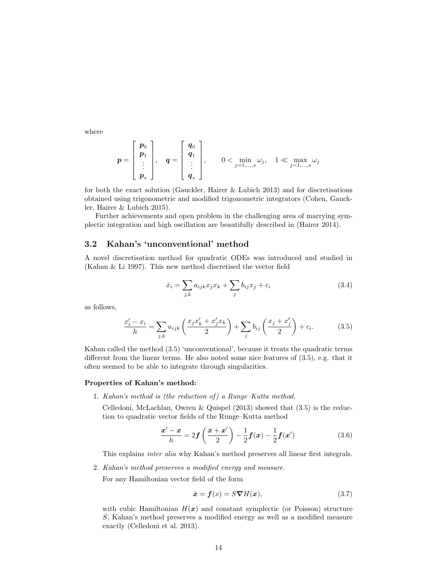where

$$
\boldsymbol{p} = \begin{bmatrix} p_0 \\ p_1 \\ \vdots \\ p_s \end{bmatrix}, \quad \boldsymbol{q} = \begin{bmatrix} \boldsymbol{q}_0 \\ \boldsymbol{q}_1 \\ \vdots \\ \boldsymbol{q}_s \end{bmatrix}, \qquad 0 < \min_{j=1,\dots,s} \omega_j, \quad 1 \ll \max_{j=1,\dots,s} \omega_j
$$

for both the exact solution (Gauckler, Hairer & Lubich 2013) and for discretisations obtained using trigonometric and modified trigonometric integrators (Cohen, Gauckler, Hairer & Lubich 2015).

Further achievements and open problem in the challenging area of marrying symplectic integration and high oscillation are beautifully described in (Hairer 2014).

#### 3.2 Kahan's 'unconventional' method

A novel discretisation method for quadratic ODEs was introduced and studied in (Kahan & Li 1997). This new method discretised the vector field

$$
\dot{x}_i = \sum_{j,k} a_{ijk} x_j x_k + \sum_j b_{ij} x_j + c_i \tag{3.4}
$$

as follows,

$$
\frac{x_i' - x_i}{h} = \sum_{j,k} a_{ijk} \left( \frac{x_j x_k' + x_j' x_k}{2} \right) + \sum_j b_{ij} \left( \frac{x_j + x_j'}{2} \right) + c_i.
$$
 (3.5)

Kahan called the method (3.5) 'unconventional', because it treats the quadratic terms different from the linear terms. He also noted some nice features of (3.5), e.g. that it often seemed to be able to integrate through singularities.

#### Properties of Kahan's method:

1. Kahan's method is (the reduction of) a Runge–Kutta method.

Celledoni, McLachlan, Owren & Quispel  $(2013)$  showed that  $(3.5)$  is the reduction to quadratic vector fields of the Runge–Kutta method

$$
\frac{x'-x}{h} = 2f\left(\frac{x+x'}{2}\right) - \frac{1}{2}f(x) - \frac{1}{2}f(x')
$$
 (3.6)

This explains inter alia why Kahan's method preserves all linear first integrals.

2. Kahan's method preserves a modified energy and measure.

For any Hamiltonian vector field of the form

$$
\dot{\boldsymbol{x}} = \boldsymbol{f}(x) = S\boldsymbol{\nabla} H(\boldsymbol{x}),\tag{3.7}
$$

with cubic Hamiltonian  $H(x)$  and constant symplectic (or Poisson) structure S, Kahan's method preserves a modified energy as well as a modified measure exactly (Celledoni et al. 2013).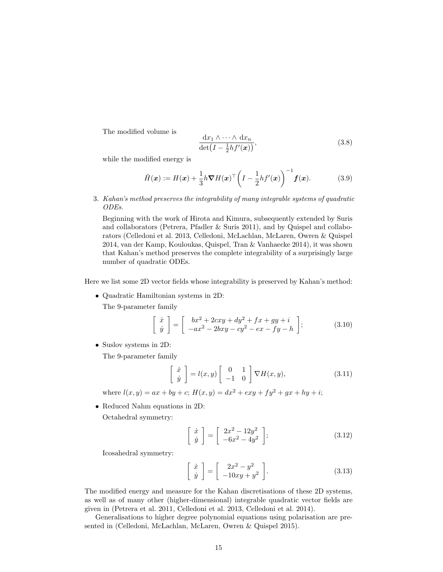The modified volume is

$$
\frac{\mathrm{d}x_1 \wedge \dots \wedge \mathrm{d}x_n}{\det(I - \frac{1}{2}h f'(x))},\tag{3.8}
$$

while the modified energy is

$$
\tilde{H}(\boldsymbol{x}) := H(\boldsymbol{x}) + \frac{1}{3} h \boldsymbol{\nabla} H(\boldsymbol{x})^{\top} \left( I - \frac{1}{2} h f'(\boldsymbol{x}) \right)^{-1} \boldsymbol{f}(\boldsymbol{x}). \tag{3.9}
$$

3. Kahan's method preserves the integrability of many integrable systems of quadratic ODEs.

Beginning with the work of Hirota and Kimura, subsequently extended by Suris and collaborators (Petrera, Pfadler & Suris 2011), and by Quispel and collaborators (Celledoni et al. 2013, Celledoni, McLachlan, McLaren, Owren & Quispel 2014, van der Kamp, Kouloukas, Quispel, Tran & Vanhaecke 2014), it was shown that Kahan's method preserves the complete integrability of a surprisingly large number of quadratic ODEs.

Here we list some 2D vector fields whose integrability is preserved by Kahan's method:

• Quadratic Hamiltonian systems in 2D:

The 9-parameter family

$$
\begin{bmatrix} \dot{x} \\ \dot{y} \end{bmatrix} = \begin{bmatrix} bx^2 + 2cxy + dy^2 + fx + gy + i \\ -ax^2 - 2bxy - cy^2 - ex - fy - h \end{bmatrix};
$$
\n(3.10)

• Suslov systems in 2D:

The 9-parameter family

$$
\begin{bmatrix} \dot{x} \\ \dot{y} \end{bmatrix} = l(x, y) \begin{bmatrix} 0 & 1 \\ -1 & 0 \end{bmatrix} \nabla H(x, y), \qquad (3.11)
$$

where  $l(x, y) = ax + by + c$ ;  $H(x, y) = dx^{2} + exp + f y^{2} + gx + hy + i$ ;

• Reduced Nahm equations in 2D:

Octahedral symmetry:

$$
\begin{bmatrix} \dot{x} \\ \dot{y} \end{bmatrix} = \begin{bmatrix} 2x^2 - 12y^2 \\ -6x^2 - 4y^2 \end{bmatrix};
$$
\n(3.12)

Icosahedral symmetry:

$$
\begin{bmatrix} \dot{x} \\ \dot{y} \end{bmatrix} = \begin{bmatrix} 2x^2 - y^2 \\ -10xy + y^2 \end{bmatrix}.
$$
 (3.13)

The modified energy and measure for the Kahan discretisations of these 2D systems, as well as of many other (higher-dimensional) integrable quadratic vector fields are given in (Petrera et al. 2011, Celledoni et al. 2013, Celledoni et al. 2014).

Generalisations to higher degree polynomial equations using polarisation are presented in (Celledoni, McLachlan, McLaren, Owren & Quispel 2015).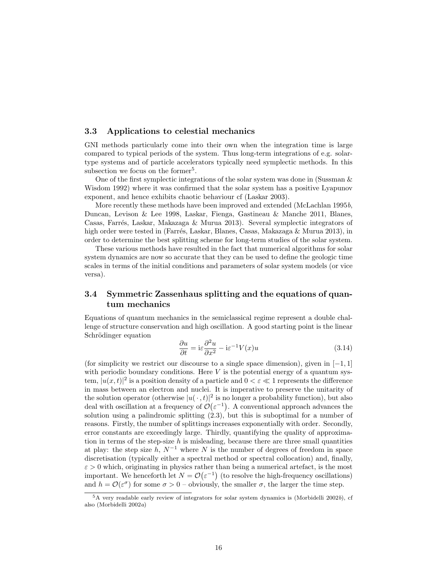#### 3.3 Applications to celestial mechanics

GNI methods particularly come into their own when the integration time is large compared to typical periods of the system. Thus long-term integrations of e.g. solartype systems and of particle accelerators typically need symplectic methods. In this subsection we focus on the former<sup>5</sup>.

One of the first symplectic integrations of the solar system was done in (Sussman  $\&$ Wisdom 1992) where it was confirmed that the solar system has a positive Lyapunov exponent, and hence exhibits chaotic behaviour cf (Laskar 2003).

More recently these methods have been improved and extended (McLachlan 1995b, Duncan, Levison & Lee 1998, Laskar, Fienga, Gastineau & Manche 2011, Blanes, Casas, Farrés, Laskar, Makazaga & Murua 2013). Several symplectic integrators of high order were tested in (Farrés, Laskar, Blanes, Casas, Makazaga & Murua 2013), in order to determine the best splitting scheme for long-term studies of the solar system.

These various methods have resulted in the fact that numerical algorithms for solar system dynamics are now so accurate that they can be used to define the geologic time scales in terms of the initial conditions and parameters of solar system models (or vice versa).

### 3.4 Symmetric Zassenhaus splitting and the equations of quantum mechanics

Equations of quantum mechanics in the semiclassical regime represent a double challenge of structure conservation and high oscillation. A good starting point is the linear Schrödinger equation

$$
\frac{\partial u}{\partial t} = i\varepsilon \frac{\partial^2 u}{\partial x^2} - i\varepsilon^{-1} V(x)u
$$
\n(3.14)

(for simplicity we restrict our discourse to a single space dimension), given in  $[-1, 1]$ with periodic boundary conditions. Here  $V$  is the potential energy of a quantum system,  $|u(x,t)|^2$  is a position density of a particle and  $0 < \varepsilon \ll 1$  represents the difference in mass between an electron and nuclei. It is imperative to preserve the unitarity of the solution operator (otherwise  $|u(\cdot,t)|^2$  is no longer a probability function), but also deal with oscillation at a frequency of  $\mathcal{O}(\varepsilon^{-1})$ . A conventional approach advances the solution using a palindromic splitting (2.3), but this is suboptimal for a number of reasons. Firstly, the number of splittings increases exponentially with order. Secondly, error constants are exceedingly large. Thirdly, quantifying the quality of approximation in terms of the step-size  $h$  is misleading, because there are three small quantities at play: the step size  $h, N^{-1}$  where N is the number of degrees of freedom in space discretisation (typically either a spectral method or spectral collocation) and, finally,  $\varepsilon > 0$  which, originating in physics rather than being a numerical artefact, is the most important. We henceforth let  $N = \mathcal{O}(\varepsilon^{-1})$  (to resolve the high-frequency oscillations) and  $h = \mathcal{O}(\varepsilon^{\sigma})$  for some  $\sigma > 0$  – obviously, the smaller  $\sigma$ , the larger the time step.

<sup>&</sup>lt;sup>5</sup>A very readable early review of integrators for solar system dynamics is (Morbidelli 2002b), cf also (Morbidelli 2002a)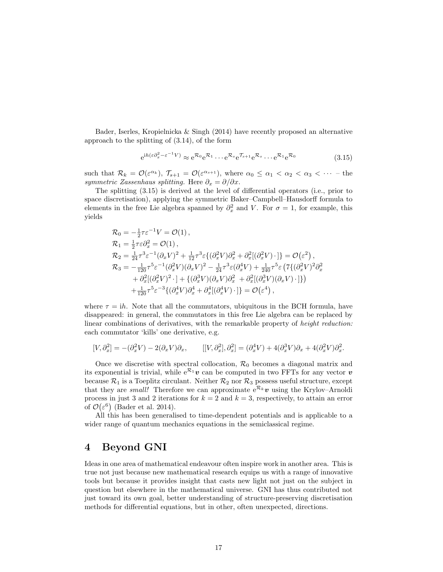Bader, Iserles, Kropielnicka & Singh (2014) have recently proposed an alternative approach to the splitting of (3.14), of the form

$$
e^{i h(\varepsilon \partial_x^2 - \varepsilon^{-1} V)} \approx e^{\mathcal{R}_0} e^{\mathcal{R}_1} \cdots e^{\mathcal{R}_s} e^{\mathcal{T}_{s+1}} e^{\mathcal{R}_s} \cdots e^{\mathcal{R}_1} e^{\mathcal{R}_0}
$$
\n(3.15)

such that  $\mathcal{R}_k = \mathcal{O}(\varepsilon^{\alpha_k})$ ,  $\mathcal{T}_{s+1} = \mathcal{O}(\varepsilon^{\alpha_{s+1}})$ , where  $\alpha_0 \leq \alpha_1 < \alpha_2 < \alpha_3 < \cdots$  - the symmetric Zassenhaus splitting. Here  $\partial_x = \partial/\partial x$ .

The splitting (3.15) is derived at the level of differential operators (i.e., prior to space discretisation), applying the symmetric Baker–Campbell–Hausdorff formula to elements in the free Lie algebra spanned by  $\partial_x^2$  and V. For  $\sigma = 1$ , for example, this yields

$$
\mathcal{R}_0 = -\frac{1}{2}\tau \varepsilon^{-1} V = \mathcal{O}(1) ,
$$
\n
$$
\mathcal{R}_1 = \frac{1}{2}\tau \varepsilon \partial_x^2 = \mathcal{O}(1) ,
$$
\n
$$
\mathcal{R}_2 = \frac{1}{24}\tau^3 \varepsilon^{-1} (\partial_x V)^2 + \frac{1}{12}\tau^3 \varepsilon \{ (\partial_x^2 V) \partial_x^2 + \partial_x^2 [(\partial_x^2 V) \cdot ] \} = \mathcal{O}(\varepsilon^2) ,
$$
\n
$$
\mathcal{R}_3 = -\frac{1}{120}\tau^5 \varepsilon^{-1} (\partial_x^2 V) (\partial_x V)^2 - \frac{1}{24}\tau^3 \varepsilon (\partial_x^4 V) + \frac{1}{240}\tau^5 \varepsilon (7\{ (\partial_x^2 V)^2 \partial_x^2 + \partial_x^2 [(\partial_x^2 V)^2 \cdot ] + \{ (\partial_x^3 V)(\partial_x V) \partial_x^2 + \partial_x^2 [(\partial_x^3 V)(\partial_x V) \cdot ] \} )
$$
\n
$$
+ \frac{1}{120}\tau^5 \varepsilon^{-3} \{ (\partial_x^4 V) \partial_x^4 + \partial_x^4 [(\partial_x^4 V) \cdot ] \} = \mathcal{O}(\varepsilon^4) ,
$$

where  $\tau = i\hbar$ . Note that all the commutators, ubiquitous in the BCH formula, have disappeared: in general, the commutators in this free Lie algebra can be replaced by linear combinations of derivatives, with the remarkable property of height reduction: each commutator 'kills' one derivative, e.g.

$$
[V,\partial_x^2] = -(\partial_x^2 V) - 2(\partial_x V)\partial_x, \qquad [[V,\partial_x^2],\partial_x^2] = (\partial_x^4 V) + 4(\partial_x^3 V)\partial_x + 4(\partial_x^2 V)\partial_x^2.
$$

Once we discretise with spectral collocation,  $\mathcal{R}_0$  becomes a diagonal matrix and its exponential is trivial, while  $e^{\mathcal{R}_1}v$  can be computed in two FFTs for any vector  $v$ because  $\mathcal{R}_1$  is a Toeplitz circulant. Neither  $\mathcal{R}_2$  nor  $\mathcal{R}_3$  possess useful structure, except that they are *small!* Therefore we can approximate  $e^{R_k}v$  using the Krylov–Arnoldi process in just 3 and 2 iterations for  $k = 2$  and  $k = 3$ , respectively, to attain an error of  $\mathcal{O}(\varepsilon^6)$  (Bader et al. 2014).

All this has been generalised to time-dependent potentials and is applicable to a wider range of quantum mechanics equations in the semiclassical regime.

### 4 Beyond GNI

Ideas in one area of mathematical endeavour often inspire work in another area. This is true not just because new mathematical research equips us with a range of innovative tools but because it provides insight that casts new light not just on the subject in question but elsewhere in the mathematical universe. GNI has thus contributed not just toward its own goal, better understanding of structure-preserving discretisation methods for differential equations, but in other, often unexpected, directions.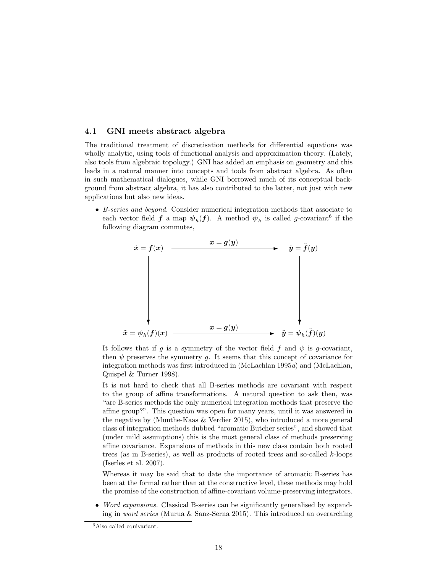#### 4.1 GNI meets abstract algebra

The traditional treatment of discretisation methods for differential equations was wholly analytic, using tools of functional analysis and approximation theory. (Lately, also tools from algebraic topology.) GNI has added an emphasis on geometry and this leads in a natural manner into concepts and tools from abstract algebra. As often in such mathematical dialogues, while GNI borrowed much of its conceptual background from abstract algebra, it has also contributed to the latter, not just with new applications but also new ideas.

• B-series and beyond. Consider numerical integration methods that associate to each vector field  $f$  a map  $\psi_h(f)$ . A method  $\psi_h$  is called g-covariant<sup>6</sup> if the following diagram commutes,



It follows that if g is a symmetry of the vector field f and  $\psi$  is g-covariant, then  $\psi$  preserves the symmetry g. It seems that this concept of covariance for integration methods was first introduced in (McLachlan 1995a) and (McLachlan, Quispel & Turner 1998).

It is not hard to check that all B-series methods are covariant with respect to the group of affine transformations. A natural question to ask then, was "are B-series methods the only numerical integration methods that preserve the affine group?". This question was open for many years, until it was answered in the negative by (Munthe-Kaas & Verdier 2015), who introduced a more general class of integration methods dubbed "aromatic Butcher series", and showed that (under mild assumptions) this is the most general class of methods preserving affine covariance. Expansions of methods in this new class contain both rooted trees (as in B-series), as well as products of rooted trees and so-called k-loops (Iserles et al. 2007).

Whereas it may be said that to date the importance of aromatic B-series has been at the formal rather than at the constructive level, these methods may hold the promise of the construction of affine-covariant volume-preserving integrators.

• *Word expansions*. Classical B-series can be significantly generalised by expanding in word series (Murua & Sanz-Serna 2015). This introduced an overarching

<sup>6</sup>Also called equivariant.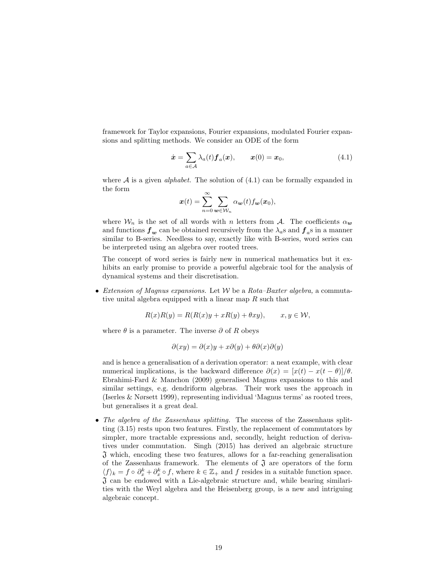framework for Taylor expansions, Fourier expansions, modulated Fourier expansions and splitting methods. We consider an ODE of the form

$$
\dot{\boldsymbol{x}} = \sum_{a \in \mathcal{A}} \lambda_a(t) \boldsymbol{f}_a(\boldsymbol{x}), \qquad \boldsymbol{x}(0) = \boldsymbol{x}_0,\tag{4.1}
$$

where  $A$  is a given *alphabet*. The solution of  $(4.1)$  can be formally expanded in the form

$$
\boldsymbol{x}(t) = \sum_{n=0}^{\infty} \sum_{\boldsymbol{w} \in \mathcal{W}_n} \alpha_{\boldsymbol{w}}(t) f_{\boldsymbol{w}}(\boldsymbol{x}_0),
$$

where  $\mathcal{W}_n$  is the set of all words with n letters from A. The coefficients  $\alpha_w$ and functions  $\boldsymbol{f}_{\boldsymbol{w}}$  can be obtained recursively from the  $\lambda_a$ s and  $\boldsymbol{f}_a$ s in a manner similar to B-series. Needless to say, exactly like with B-series, word series can be interpreted using an algebra over rooted trees.

The concept of word series is fairly new in numerical mathematics but it exhibits an early promise to provide a powerful algebraic tool for the analysis of dynamical systems and their discretisation.

• Extension of Magnus expansions. Let  $W$  be a Rota–Baxter algebra, a commutative unital algebra equipped with a linear map R such that

$$
R(x)R(y) = R(R(x)y + xR(y) + \theta xy), \qquad x, y \in \mathcal{W},
$$

where  $\theta$  is a parameter. The inverse  $\partial$  of R obeys

$$
\partial(xy) = \partial(x)y + x\partial(y) + \theta\partial(x)\partial(y)
$$

and is hence a generalisation of a derivation operator: a neat example, with clear numerical implications, is the backward difference  $\partial(x) = [x(t) - x(t - \theta)]/\theta$ . Ebrahimi-Fard & Manchon (2009) generalised Magnus expansions to this and similar settings, e.g. dendriform algebras. Their work uses the approach in (Iserles & Nørsett 1999), representing individual 'Magnus terms' as rooted trees, but generalises it a great deal.

• The algebra of the Zassenhaus splitting. The success of the Zassenhaus splitting (3.15) rests upon two features. Firstly, the replacement of commutators by simpler, more tractable expressions and, secondly, height reduction of derivatives under commutation. Singh (2015) has derived an algebraic structure  $J$  which, encoding these two features, allows for a far-reaching generalisation of the Zassenhaus framework. The elements of  $\mathfrak J$  are operators of the form  $\langle f \rangle_k = f \circ \partial_x^k + \partial_x^k \circ f$ , where  $k \in \mathbb{Z}_+$  and f resides in a suitable function space.  $J$  can be endowed with a Lie-algebraic structure and, while bearing similarities with the Weyl algebra and the Heisenberg group, is a new and intriguing algebraic concept.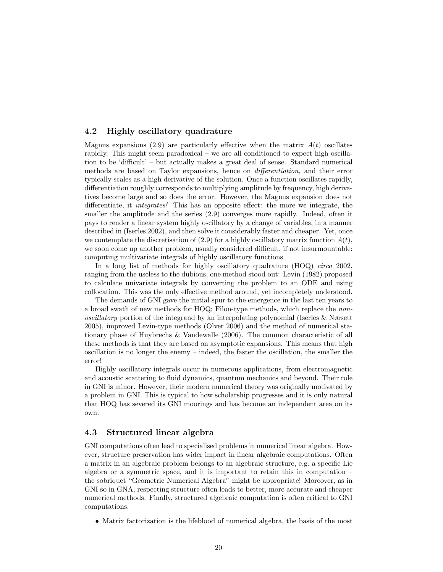#### 4.2 Highly oscillatory quadrature

Magnus expansions (2.9) are particularly effective when the matrix  $A(t)$  oscillates rapidly. This might seem paradoxical – we are all conditioned to expect high oscillation to be 'difficult' – but actually makes a great deal of sense. Standard numerical methods are based on Taylor expansions, hence on differentiation, and their error typically scales as a high derivative of the solution. Once a function oscillates rapidly, differentiation roughly corresponds to multiplying amplitude by frequency, high derivatives become large and so does the error. However, the Magnus expansion does not differentiate, it *integrates!* This has an opposite effect: the more we integrate, the smaller the amplitude and the series (2.9) converges more rapidly. Indeed, often it pays to render a linear system highly oscillatory by a change of variables, in a manner described in (Iserles 2002), and then solve it considerably faster and cheaper. Yet, once we contemplate the discretisation of  $(2.9)$  for a highly oscillatory matrix function  $A(t)$ , we soon come up another problem, usually considered difficult, if not insurmountable: computing multivariate integrals of highly oscillatory functions.

In a long list of methods for highly oscillatory quadrature (HOQ) *circa* 2002. ranging from the useless to the dubious, one method stood out: Levin (1982) proposed to calculate univariate integrals by converting the problem to an ODE and using collocation. This was the only effective method around, yet incompletely understood.

The demands of GNI gave the initial spur to the emergence in the last ten years to a broad swath of new methods for HOQ: Filon-type methods, which replace the nonoscillatory portion of the integrand by an interpolating polynomial (Iserles & Nørsett 2005), improved Levin-type methods (Olver 2006) and the method of numerical stationary phase of Huybrechs & Vandewalle (2006). The common characteristic of all these methods is that they are based on asymptotic expansions. This means that high oscillation is no longer the enemy – indeed, the faster the oscillation, the smaller the error!

Highly oscillatory integrals occur in numerous applications, from electromagnetic and acoustic scattering to fluid dynamics, quantum mechanics and beyond. Their role in GNI is minor. However, their modern numerical theory was originally motivated by a problem in GNI. This is typical to how scholarship progresses and it is only natural that HOQ has severed its GNI moorings and has become an independent area on its own.

#### 4.3 Structured linear algebra

GNI computations often lead to specialised problems in numerical linear algebra. However, structure preservation has wider impact in linear algebraic computations. Often a matrix in an algebraic problem belongs to an algebraic structure, e.g. a specific Lie algebra or a symmetric space, and it is important to retain this in computation – the sobriquet "Geometric Numerical Algebra" might be appropriate! Moreover, as in GNI so in GNA, respecting structure often leads to better, more accurate and cheaper numerical methods. Finally, structured algebraic computation is often critical to GNI computations.

• Matrix factorization is the lifeblood of numerical algebra, the basis of the most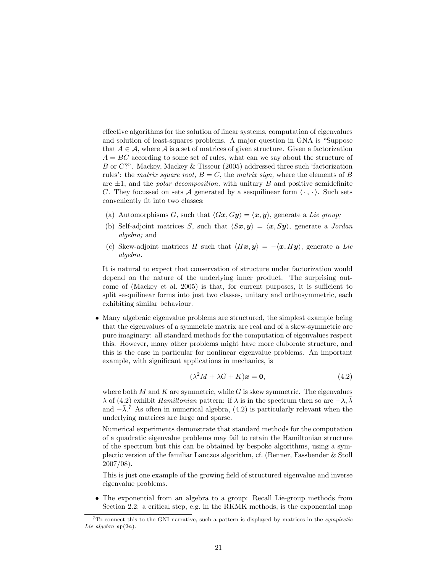effective algorithms for the solution of linear systems, computation of eigenvalues and solution of least-squares problems. A major question in GNA is "Suppose that  $A \in \mathcal{A}$ , where  $\mathcal{A}$  is a set of matrices of given structure. Given a factorization  $A = BC$  according to some set of rules, what can we say about the structure of B or C?". Mackey, Mackey & Tisseur (2005) addressed three such 'factorization rules': the matrix square root,  $B = C$ , the matrix sign, where the elements of B are  $\pm 1$ , and the *polar decomposition*, with unitary B and positive semidefinite C. They focussed on sets A generated by a sesquilinear form  $\langle \cdot, \cdot \rangle$ . Such sets conveniently fit into two classes:

- (a) Automorphisms G, such that  $\langle Gx, Gy \rangle = \langle x, y \rangle$ , generate a Lie group;
- (b) Self-adjoint matrices S, such that  $\langle Sx, y \rangle = \langle x, Sy \rangle$ , generate a Jordan algebra; and
- (c) Skew-adjoint matrices H such that  $\langle Hx, y \rangle = -\langle x, Hy \rangle$ , generate a Lie algebra.

It is natural to expect that conservation of structure under factorization would depend on the nature of the underlying inner product. The surprising outcome of (Mackey et al. 2005) is that, for current purposes, it is sufficient to split sesquilinear forms into just two classes, unitary and orthosymmetric, each exhibiting similar behaviour.

• Many algebraic eigenvalue problems are structured, the simplest example being that the eigenvalues of a symmetric matrix are real and of a skew-symmetric are pure imaginary: all standard methods for the computation of eigenvalues respect this. However, many other problems might have more elaborate structure, and this is the case in particular for nonlinear eigenvalue problems. An important example, with significant applications in mechanics, is

$$
(\lambda^2 M + \lambda G + K)\mathbf{x} = \mathbf{0},\tag{4.2}
$$

where both  $M$  and  $K$  are symmetric, while  $G$  is skew symmetric. The eigenvalues λ of (4.2) exhibit Hamiltonian pattern: if  $\lambda$  is in the spectrum then so are  $-\lambda$ ,  $\bar{\lambda}$ and  $-\bar{\lambda}$ .<sup>7</sup> As often in numerical algebra, (4.2) is particularly relevant when the underlying matrices are large and sparse.

Numerical experiments demonstrate that standard methods for the computation of a quadratic eigenvalue problems may fail to retain the Hamiltonian structure of the spectrum but this can be obtained by bespoke algorithms, using a symplectic version of the familiar Lanczos algorithm, cf. (Benner, Fassbender & Stoll 2007/08).

This is just one example of the growing field of structured eigenvalue and inverse eigenvalue problems.

• The exponential from an algebra to a group: Recall Lie-group methods from Section 2.2: a critical step, e.g. in the RKMK methods, is the exponential map

<sup>&</sup>lt;sup>7</sup>To connect this to the GNI narrative, such a pattern is displayed by matrices in the *symplectic* Lie algebra  $\mathfrak{sp}(2n)$ .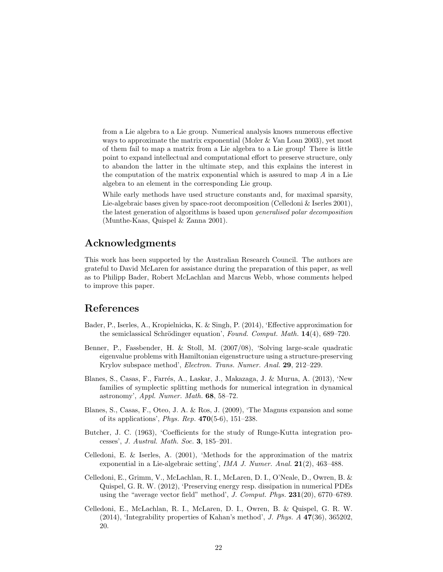from a Lie algebra to a Lie group. Numerical analysis knows numerous effective ways to approximate the matrix exponential (Moler & Van Loan 2003), yet most of them fail to map a matrix from a Lie algebra to a Lie group! There is little point to expand intellectual and computational effort to preserve structure, only to abandon the latter in the ultimate step, and this explains the interest in the computation of the matrix exponential which is assured to map  $A$  in a Lie algebra to an element in the corresponding Lie group.

While early methods have used structure constants and, for maximal sparsity, Lie-algebraic bases given by space-root decomposition (Celledoni & Iserles 2001), the latest generation of algorithms is based upon generalised polar decomposition (Munthe-Kaas, Quispel & Zanna 2001).

# Acknowledgments

This work has been supported by the Australian Research Council. The authors are grateful to David McLaren for assistance during the preparation of this paper, as well as to Philipp Bader, Robert McLachlan and Marcus Webb, whose comments helped to improve this paper.

# References

- Bader, P., Iserles, A., Kropielnicka, K. & Singh, P. (2014), 'Effective approximation for the semiclassical Schrödinger equation', Found. Comput. Math. 14(4), 689–720.
- Benner, P., Fassbender, H. & Stoll, M. (2007/08), 'Solving large-scale quadratic eigenvalue problems with Hamiltonian eigenstructure using a structure-preserving Krylov subspace method', Electron. Trans. Numer. Anal. 29, 212–229.
- Blanes, S., Casas, F., Farrés, A., Laskar, J., Makazaga, J. & Murua, A. (2013), 'New families of symplectic splitting methods for numerical integration in dynamical astronomy', Appl. Numer. Math. 68, 58–72.
- Blanes, S., Casas, F., Oteo, J. A. & Ros, J. (2009), 'The Magnus expansion and some of its applications', *Phys. Rep.*  $470(5-6)$ ,  $151-238$ .
- Butcher, J. C. (1963), 'Coefficients for the study of Runge-Kutta integration processes', J. Austral. Math. Soc. 3, 185–201.
- Celledoni, E. & Iserles, A. (2001), 'Methods for the approximation of the matrix exponential in a Lie-algebraic setting', IMA J. Numer. Anal. 21(2), 463–488.
- Celledoni, E., Grimm, V., McLachlan, R. I., McLaren, D. I., O'Neale, D., Owren, B. & Quispel, G. R. W. (2012), 'Preserving energy resp. dissipation in numerical PDEs using the "average vector field" method',  $J.$  Comput. Phys.  $231(20)$ , 6770–6789.
- Celledoni, E., McLachlan, R. I., McLaren, D. I., Owren, B. & Quispel, G. R. W. (2014), 'Integrability properties of Kahan's method', J. Phys. A 47(36), 365202, 20.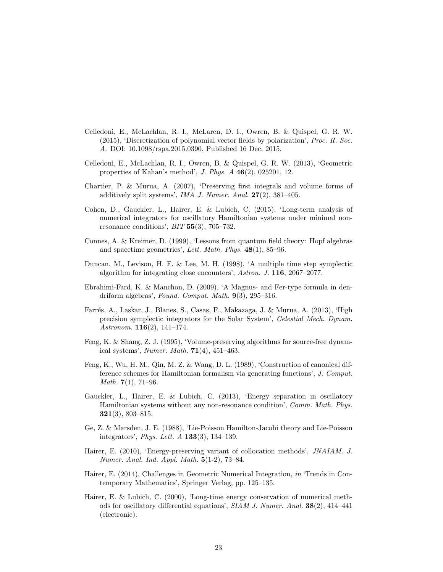- Celledoni, E., McLachlan, R. I., McLaren, D. I., Owren, B. & Quispel, G. R. W. (2015), 'Discretization of polynomial vector fields by polarization', Proc. R. Soc. A. DOI: 10.1098/rspa.2015.0390, Published 16 Dec. 2015.
- Celledoni, E., McLachlan, R. I., Owren, B. & Quispel, G. R. W. (2013), 'Geometric properties of Kahan's method', J. Phys. A 46(2), 025201, 12.
- Chartier, P. & Murua, A. (2007), 'Preserving first integrals and volume forms of additively split systems', IMA J. Numer. Anal. 27(2), 381–405.
- Cohen, D., Gauckler, L., Hairer, E. & Lubich, C. (2015), 'Long-term analysis of numerical integrators for oscillatory Hamiltonian systems under minimal nonresonance conditions',  $BIT 55(3)$ , 705–732.
- Connes, A. & Kreimer, D. (1999), 'Lessons from quantum field theory: Hopf algebras and spacetime geometries', Lett. Math. Phys. 48(1), 85–96.
- Duncan, M., Levison, H. F. & Lee, M. H. (1998), 'A multiple time step symplectic algorithm for integrating close encounters', Astron. J. 116, 2067–2077.
- Ebrahimi-Fard, K. & Manchon, D. (2009), 'A Magnus- and Fer-type formula in dendriform algebras', Found. Comput. Math. 9(3), 295–316.
- Farr´es, A., Laskar, J., Blanes, S., Casas, F., Makazaga, J. & Murua, A. (2013), 'High precision symplectic integrators for the Solar System', Celestial Mech. Dynam. Astronom.  $116(2)$ ,  $141-174$ .
- Feng, K. & Shang, Z. J. (1995), 'Volume-preserving algorithms for source-free dynamical systems', Numer. Math.  $71(4)$ ,  $451-463$ .
- Feng, K., Wu, H. M., Qin, M. Z. & Wang, D. L. (1989), 'Construction of canonical difference schemes for Hamiltonian formalism via generating functions', J. Comput. *Math.*  $7(1)$ , 71–96.
- Gauckler, L., Hairer, E. & Lubich, C. (2013), 'Energy separation in oscillatory Hamiltonian systems without any non-resonance condition', Comm. Math. Phys.  $321(3), 803-815.$
- Ge, Z. & Marsden, J. E. (1988), 'Lie-Poisson Hamilton-Jacobi theory and Lie-Poisson integrators', Phys. Lett. A 133(3), 134–139.
- Hairer, E. (2010), 'Energy-preserving variant of collocation methods', JNAIAM. J. Numer. Anal. Ind. Appl. Math. 5(1-2), 73–84.
- Hairer, E. (2014), Challenges in Geometric Numerical Integration, in 'Trends in Contemporary Mathematics', Springer Verlag, pp. 125–135.
- Hairer, E. & Lubich, C. (2000), 'Long-time energy conservation of numerical methods for oscillatory differential equations', SIAM J. Numer. Anal. 38(2), 414–441 (electronic).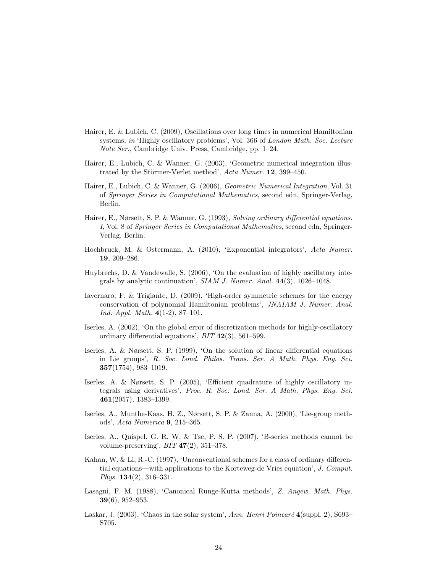- Hairer, E. & Lubich, C. (2009), Oscillations over long times in numerical Hamiltonian systems, in 'Highly oscillatory problems', Vol. 366 of London Math. Soc. Lecture Note Ser., Cambridge Univ. Press, Cambridge, pp. 1–24.
- Hairer, E., Lubich, C. & Wanner, G. (2003), 'Geometric numerical integration illustrated by the Störmer-Verlet method', Acta Numer. 12, 399-450.
- Hairer, E., Lubich, C. & Wanner, G. (2006), Geometric Numerical Integration, Vol. 31 of Springer Series in Computational Mathematics, second edn, Springer-Verlag, Berlin.
- Hairer, E., Nørsett, S. P. & Wanner, G. (1993), Solving ordinary differential equations. I, Vol. 8 of Springer Series in Computational Mathematics, second edn, Springer-Verlag, Berlin.
- Hochbruck, M. & Ostermann, A. (2010), 'Exponential integrators', Acta Numer. 19, 209–286.
- Huybrechs, D. & Vandewalle, S. (2006), 'On the evaluation of highly oscillatory integrals by analytic continuation', SIAM J. Numer. Anal. 44(3), 1026–1048.
- Iavernaro, F. & Trigiante, D. (2009), 'High-order symmetric schemes for the energy conservation of polynomial Hamiltonian problems', JNAIAM J. Numer. Anal. Ind. Appl. Math. 4(1-2), 87–101.
- Iserles, A. (2002), 'On the global error of discretization methods for highly-oscillatory ordinary differential equations', BIT 42(3), 561–599.
- Iserles, A. & Nørsett, S. P. (1999), 'On the solution of linear differential equations in Lie groups', R. Soc. Lond. Philos. Trans. Ser. A Math. Phys. Eng. Sci. 357(1754), 983–1019.
- Iserles, A. & Nørsett, S. P. (2005), 'Efficient quadrature of highly oscillatory integrals using derivatives', Proc. R. Soc. Lond. Ser. A Math. Phys. Eng. Sci. 461(2057), 1383–1399.
- Iserles, A., Munthe-Kaas, H. Z., Nørsett, S. P. & Zanna, A. (2000), 'Lie-group methods', Acta Numerica 9, 215–365.
- Iserles, A., Quispel, G. R. W. & Tse, P. S. P. (2007), 'B-series methods cannot be volume-preserving',  $BIT 47(2)$ , 351–378.
- Kahan, W. & Li, R.-C. (1997), 'Unconventional schemes for a class of ordinary differential equations—with applications to the Korteweg-de Vries equation', J. Comput. Phys. 134(2), 316–331.
- Lasagni, F. M. (1988), 'Canonical Runge-Kutta methods', Z. Angew. Math. Phys. 39(6), 952–953.
- Laskar, J. (2003), 'Chaos in the solar system', Ann. Henri Poincaré  $4(\text{suppl. 2}),$  S693– S705.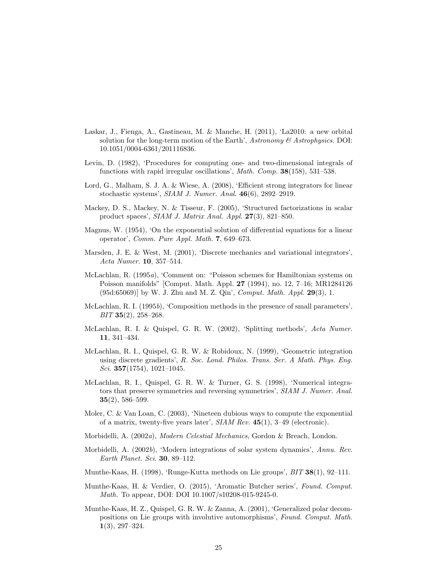- Laskar, J., Fienga, A., Gastineau, M. & Manche, H. (2011), 'La2010: a new orbital solution for the long-term motion of the Earth', Astronomy  $\mathcal{B}$  Astrophysics. DOI: 10.1051/0004-6361/201116836.
- Levin, D. (1982), 'Procedures for computing one- and two-dimensional integrals of functions with rapid irregular oscillations', Math. Comp. 38(158), 531–538.
- Lord, G., Malham, S. J. A. & Wiese, A. (2008), 'Efficient strong integrators for linear stochastic systems', SIAM J. Numer. Anal. 46(6), 2892–2919.
- Mackey, D. S., Mackey, N. & Tisseur, F. (2005), 'Structured factorizations in scalar product spaces', SIAM J. Matrix Anal. Appl. 27(3), 821–850.
- Magnus, W. (1954), 'On the exponential solution of differential equations for a linear operator', Comm. Pure Appl. Math. 7, 649–673.
- Marsden, J. E. & West, M. (2001), 'Discrete mechanics and variational integrators', Acta Numer. 10, 357–514.
- McLachlan, R. (1995a), 'Comment on: "Poisson schemes for Hamiltonian systems on Poisson manifolds" [Comput. Math. Appl. 27 (1994), no. 12, 7–16; MR1284126  $(95d:65069)$  by W. J. Zhu and M. Z. Qin', *Comput. Math. Appl.* **29** $(3)$ , 1.
- McLachlan, R. I. (1995b), 'Composition methods in the presence of small parameters',  $BIT 35(2), 258-268.$
- McLachlan, R. I. & Quispel, G. R. W. (2002), 'Splitting methods', Acta Numer. 11, 341–434.
- McLachlan, R. I., Quispel, G. R. W. & Robidoux, N. (1999), 'Geometric integration using discrete gradients', R. Soc. Lond. Philos. Trans. Ser. A Math. Phys. Eng. Sci. 357 $(1754)$ , 1021-1045.
- McLachlan, R. I., Quispel, G. R. W. & Turner, G. S. (1998), 'Numerical integrators that preserve symmetries and reversing symmetries', SIAM J. Numer. Anal.  $35(2), 586-599.$
- Moler, C. & Van Loan, C. (2003), 'Nineteen dubious ways to compute the exponential of a matrix, twenty-five years later', SIAM Rev. 45(1), 3–49 (electronic).
- Morbidelli, A. (2002a), Modern Celestial Mechanics, Gordon & Breach, London.
- Morbidelli, A. (2002b), 'Modern integrations of solar system dynamics', Annu. Rev. Earth Planet. Sci. 30, 89–112.
- Munthe-Kaas, H. (1998), 'Runge-Kutta methods on Lie groups', BIT 38(1), 92–111.
- Munthe-Kaas, H. & Verdier, O. (2015), 'Aromatic Butcher series', Found. Comput. Math. To appear, DOI: DOI 10.1007/s10208-015-9245-0.
- Munthe-Kaas, H. Z., Quispel, G. R. W. & Zanna, A. (2001), 'Generalized polar decompositions on Lie groups with involutive automorphisms', Found. Comput. Math. 1(3), 297–324.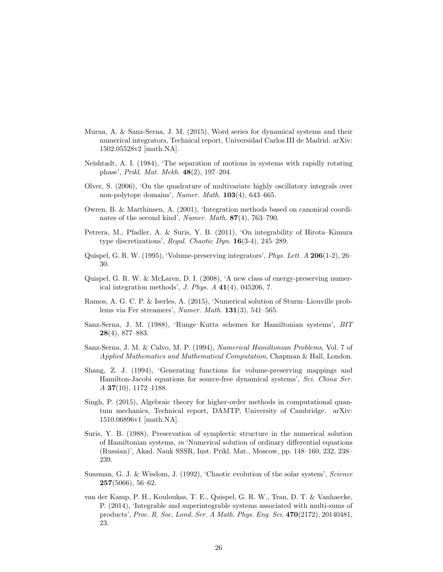- Murua, A. & Sanz-Serna, J. M. (2015), Word series for dynamical systems and their numerical integrators, Technical report, Universidad Carlos III de Madrid. arXiv: 1502.05528v2 [math.NA].
- Neĭshtadt, A. I. (1984), 'The separation of motions in systems with rapidly rotating phase', Prikl. Mat. Mekh. 48(2), 197–204.
- Olver, S. (2006), 'On the quadrature of multivariate highly oscillatory integrals over non-polytope domains', Numer. Math. 103(4), 643–665.
- Owren, B. & Marthinsen, A. (2001), 'Integration methods based on canonical coordinates of the second kind', Numer. Math. 87(4), 763-790.
- Petrera, M., Pfadler, A. & Suris, Y. B. (2011), 'On integrability of Hirota–Kimura type discretizations', Regul. Chaotic Dyn. 16(3-4), 245–289.
- Quispel, G. R. W. (1995), 'Volume-preserving integrators', Phys. Lett. A 206(1-2), 26– 30.
- Quispel, G. R. W. & McLaren, D. I. (2008), 'A new class of energy-preserving numerical integration methods', J. Phys.  $A$  41(4), 045206, 7.
- Ramos, A. G. C. P. & Iserles, A. (2015), 'Numerical solution of Sturm–Liouville problems via Fer streamers', Numer. Math. 131(3), 541–565.
- Sanz-Serna, J. M. (1988), 'Runge–Kutta schemes for Hamiltonian systems', BIT 28(4), 877–883.
- Sanz-Serna, J. M. & Calvo, M. P. (1994), Numerical Hamiltonian Problems, Vol. 7 of Applied Mathematics and Mathematical Computation, Chapman & Hall, London.
- Shang, Z. J. (1994), 'Generating functions for volume-preserving mappings and Hamilton-Jacobi equations for source-free dynamical systems', Sci. China Ser. A 37(10), 1172–1188.
- Singh, P. (2015), Algebraic theory for higher-order methods in computational quantum mechanics, Technical report, DAMTP, University of Cambridge. arXiv: 1510.06896v1 [math.NA].
- Suris, Y. B. (1988), Preservation of symplectic structure in the numerical solution of Hamiltonian systems, in 'Numerical solution of ordinary differential equations (Russian)', Akad. Nauk SSSR, Inst. Prikl. Mat., Moscow, pp. 148–160, 232, 238– 239.
- Sussman, G. J. & Wisdom, J. (1992), 'Chaotic evolution of the solar system', Science  $257(5066), 56-62.$
- van der Kamp, P. H., Kouloukas, T. E., Quispel, G. R. W., Tran, D. T. & Vanhaecke, P. (2014), 'Integrable and superintegrable systems associated with multi-sums of products', Proc. R. Soc. Lond. Ser. A Math. Phys. Eng. Sci. 470(2172), 20140481, 23.